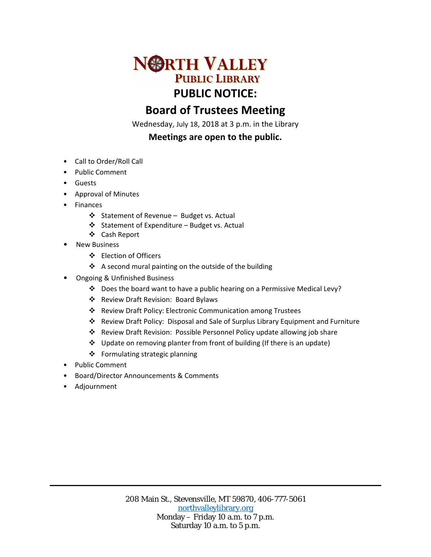

# **Board of Trustees Meeting**

Wednesday, July 18, 2018 at 3 p.m. in the Library

## **Meetings are open to the public.**

- Call to Order/Roll Call
- Public Comment
- Guests
- Approval of Minutes
- Finances
	- ❖ Statement of Revenue Budget vs. Actual
	- Statement of Expenditure Budget vs. Actual
	- Cash Report
- New Business
	- Election of Officers
	- A second mural painting on the outside of the building
- Ongoing & Unfinished Business
	- \* Does the board want to have a public hearing on a Permissive Medical Levy?
	- Review Draft Revision: Board Bylaws
	- Review Draft Policy: Electronic Communication among Trustees
	- Review Draft Policy: Disposal and Sale of Surplus Library Equipment and Furniture
	- Review Draft Revision: Possible Personnel Policy update allowing job share
	- $\div$  Update on removing planter from front of building (If there is an update)
	- Formulating strategic planning
- Public Comment
- Board/Director Announcements & Comments
- Adjournment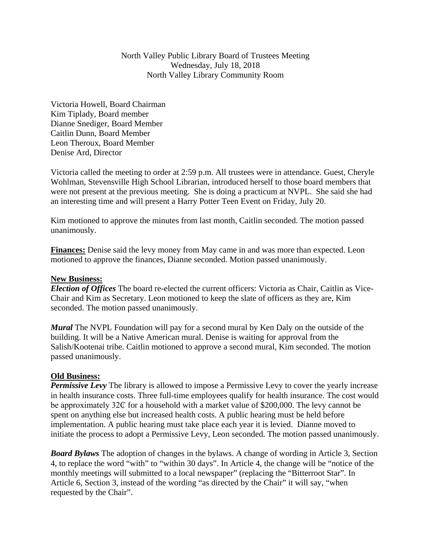North Valley Public Library Board of Trustees Meeting Wednesday, July 18, 2018 North Valley Library Community Room

Victoria Howell, Board Chairman Kim Tiplady, Board member Dianne Snediger, Board Member Caitlin Dunn, Board Member Leon Theroux, Board Member Denise Ard, Director

Victoria called the meeting to order at 2:59 p.m. All trustees were in attendance. Guest, Cheryle Wohlman, Stevensville High School Librarian, introduced herself to those board members that were not present at the previous meeting. She is doing a practicum at NVPL. She said she had an interesting time and will present a Harry Potter Teen Event on Friday, July 20.

Kim motioned to approve the minutes from last month, Caitlin seconded. The motion passed unanimously.

**Finances:** Denise said the levy money from May came in and was more than expected. Leon motioned to approve the finances, Dianne seconded. Motion passed unanimously.

#### **New Business:**

*Election of Offices* The board re-elected the current officers: Victoria as Chair, Caitlin as Vice-Chair and Kim as Secretary. Leon motioned to keep the slate of officers as they are, Kim seconded. The motion passed unanimously.

*Mural* The NVPL Foundation will pay for a second mural by Ken Daly on the outside of the building. It will be a Native American mural. Denise is waiting for approval from the Salish/Kootenai tribe. Caitlin motioned to approve a second mural, Kim seconded. The motion passed unanimously.

#### **Old Business:**

*Permissive Levy* The library is allowed to impose a Permissive Levy to cover the yearly increase in health insurance costs. Three full-time employees qualify for health insurance. The cost would be approximately 32 $\mathbb C$  for a household with a market value of \$200,000. The levy cannot be spent on anything else but increased health costs. A public hearing must be held before implementation. A public hearing must take place each year it is levied. Dianne moved to initiate the process to adopt a Permissive Levy, Leon seconded. The motion passed unanimously.

*Board Bylaws* The adoption of changes in the bylaws. A change of wording in Article 3, Section 4, to replace the word "with" to "within 30 days". In Article 4, the change will be "notice of the monthly meetings will submitted to a local newspaper" (replacing the "Bitterroot Star". In Article 6, Section 3, instead of the wording "as directed by the Chair" it will say, "when requested by the Chair".